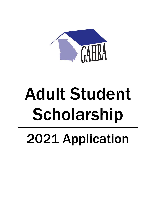

# Adult Student Scholarship 2021 Application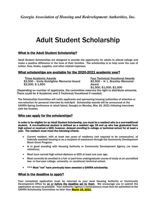# Adult Student Scholarship

# What is the Adult Student Scholarship?

Adult Student Scholarships are designed to provide the opportunity for adults to attend college and make a positive difference in the lives of their families. The scholarship is to help cover the cost of tuition, fees, books, supplies, and other related expenses.

## What scholarships are available for the 2020-2021 academic year?

Three Academic Awards<br>
Four Technical/Vocational Award Four Technical/Vocational Awards<br>
Four Technical Control Award 52,500 – H. L. Brantley Memorial \$2,500 – Emily Kicklighter Memorial Award \$2,500<br>\$2,000, \$1,500 – Award

\$1,500, \$1,000, \$1,000

(Depending on number of applicants, the committee reserves the right to distribute amounts. There could be 4 Academic and 3 Technical/Vocational if needed)

The Scholarship Committee will notify applicants and sponsoring housing authorities of selection or non-selection for personal interview by mid-April. Scholarship awards will be announced at the GAHRA Spring Conference at Jekyll Island, Georgia on Monday, May 16, 2021 following interviews with the finalists.

## Who can apply for the scholarships?

In order to be eligible for an Adult Student Scholarship, you must be a resident who is a non-traditional student. A non-traditional student is defined as a resident age 18 and up who has graduated from high school or received a GED; however, delayed enrolling in college or technical school for at least a year. The resident must meet the following criteria:

- Current resident, with at least two years of residency (not required to be consecutive), of federally assisted housing or as a recipient of assistance through the Community Development Block Grant Program.
- Is in good standing with Housing Authority or Community Development Agency (no lease violations).
- Must have earned high school diploma or GED at least one year ago.
- Must currently be enrolled in a full- or part-time undergraduate course of study at an accredited two- or four-year college, university, or vocational/technical school.
- \*\*\* Must "not" have previously been awarded a GAHRA scholarship.

## What is the deadline to apply?

Your completed application must be returned to your local Housing Authority or Community Development Office by on or before the deadline set by them. We encourage you to submit the application as soon as possible. Your authority/agency's nomination(s) must then be submitted to the GAHRA Scholarship Committee no later than **March 19, 2021.**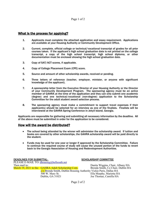# What is the process for applying?

- 1. Applicants must complete the attached application and essay requirement. Applications are available at your Housing Authority or Community Development Office.
- 2. Current, complete, official college or technical/vocational transcript of grades for all prior courses taken. If the applicant's high school graduation date is not printed on the college transcript, a copy of the high school transcript, high school diploma, or other documentation must be enclosed showing the high school graduation date.
- 3. Copy of SAT/ACT scores, if applicable.
- 4. Copy of College Placement Exam (CPE) score.
- 5. Source and amount of other scholarship awards, received or pending.
- 6. Three letters of reference (teacher, employer, minister, or anyone with significant knowledge of the applicant).
- 7. A sponsorship letter from the Executive Director of your Housing Authority or the Director of your Community Development Program. The sponsoring agency must be an active member of GAHRA at the time of the application and they can only submit one academic (degree) and one technical/vocational (non-degree) application to the Scholarship Committee for the adult student award selection process.
- 8. The sponsoring agency must make a commitment to support travel expenses if their applicant(s) should be selected for an interview as one of the finalists. Finalists will be interviewed at the GAHRA Spring Conference in Jekyll Island, Georgia.

Applicants are responsible for gathering and submitting all necessary information by the deadline. All of the above must be submitted in order for the application to be considered.

#### How will the award be distributed?

- The school being attended by the winner will administer the scholarship award. If tuition and books are covered by other scholarships, the GAHRA scholarship award will be paid directly to the student.
- Funds may be used for one year or longer if approved by the Scholarship Committee. Failure to continue the required course of study will cause the unused portion of the funds to revert back to the Georgia Association of Housing and Redevelopment Authorities.

DEADLINES FOR SUBMITTAL- SCHOLARSHIP COMMITTEE PLEASE E-MAIL TO: [dhousing@bellsouth.net](mailto:dhousing@bellsouth.net) Then mail to: <br> **March 19, 2021 to the:** GAHRA Adult Scholarship Com. Brenda Smith, Co Chair, Dublin HA March 19, 2021 to the: GAHRA Adult Scholarship Com. c/o Brenda Smith, Dublin Housing Authority Vickie Paris, Dallas HA 500 W. Mary St. **Ella Murphy, Marietta HA**<br>
Dublin, GA 31021 Joe Thomas, Camilla HA

Joe Thomas, Camilla HA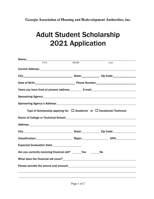**Georgia Association of Housing and Redevelopment Authorities, Inc.**

# Adult Student Scholarship <sup>2021</sup> Application

| Name: _____________ |                                                                                                                                                                                                                                |                                                                               |                                                                                       |  |  |
|---------------------|--------------------------------------------------------------------------------------------------------------------------------------------------------------------------------------------------------------------------------|-------------------------------------------------------------------------------|---------------------------------------------------------------------------------------|--|--|
|                     | First                                                                                                                                                                                                                          | Middle                                                                        | Last                                                                                  |  |  |
|                     |                                                                                                                                                                                                                                |                                                                               |                                                                                       |  |  |
|                     |                                                                                                                                                                                                                                |                                                                               |                                                                                       |  |  |
|                     | Date of Birth: 2000 Contract Contract Phone Number: 2001 Contract Contract Contract Contract Contract Contract Contract Contract Contract Contract Contract Contract Contract Contract Contract Contract Contract Contract Con |                                                                               |                                                                                       |  |  |
|                     |                                                                                                                                                                                                                                |                                                                               |                                                                                       |  |  |
|                     |                                                                                                                                                                                                                                |                                                                               |                                                                                       |  |  |
|                     |                                                                                                                                                                                                                                | Sponsoring Agency's Address: Manual Community of Sponsoring Agency's Address: |                                                                                       |  |  |
|                     |                                                                                                                                                                                                                                |                                                                               | Type of Scholarship applying for: $\Box$ Academic or $\Box$ Vocational/Technical      |  |  |
|                     |                                                                                                                                                                                                                                |                                                                               |                                                                                       |  |  |
|                     |                                                                                                                                                                                                                                |                                                                               |                                                                                       |  |  |
|                     |                                                                                                                                                                                                                                |                                                                               |                                                                                       |  |  |
|                     |                                                                                                                                                                                                                                |                                                                               | Classification: Major: Major: GPA: GPA:                                               |  |  |
|                     | Expected Graduation Date: 1990 1991                                                                                                                                                                                            |                                                                               |                                                                                       |  |  |
|                     |                                                                                                                                                                                                                                | Are you currently receiving financial aid? _______Yes _______                 | <b>No</b>                                                                             |  |  |
|                     |                                                                                                                                                                                                                                |                                                                               |                                                                                       |  |  |
|                     |                                                                                                                                                                                                                                |                                                                               | Please provide the source and amount:<br><u>Please</u> provide the source and amount: |  |  |
|                     |                                                                                                                                                                                                                                |                                                                               |                                                                                       |  |  |
|                     |                                                                                                                                                                                                                                |                                                                               |                                                                                       |  |  |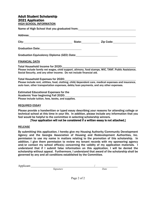# Adult Student Scholarship 2021 Application HIGH SCHOOL INFORMATION Name of High School that you graduated from: Address: City: City: City: State: State: Zip Code: Zip Code: Graduation Date: Graduation Equivalency Diploma (GED) Date: FINANCIAL DATA Total Household Income for 2020: Please include family net wages, child support, alimony, food stamps, WIC, TANF, Public Assistance, Social Security, and any other income. Do not include financial aid. Total Household Expenses for 2020: Please include rent, utilities, food, clothing, child/dependent care, medical expenses and insurance, auto loan, other transportation expenses, debts/loan payments, and any other expenses. Estimated Educational Expenses for the

Academic Year beginning Fall 2020: Please include tuition, fees, books, and supplies.

#### REQUIRED ESSAY

Please provide a handwritten or typed essay describing your reasons for attending college or technical school at this time in your life. In addition, please include any information that you feel would be helpful to the committee in selecting scholarship winners.

## [Your application will not be considered if a written essay is not attached.]

#### **RELEASE**

By submitting this application, I hereby give my Housing Authority/Community Development Agency and the Georgia Association of Housing and Redevelopment Authorities, Inc. permission to use my name in matters relating to the promotion of this scholarship. In addition, I give them permission to review my tenant records with my sponsoring agency and/or contact my school office(s) concerning the validity of my application materials. I understand that if I submit false information on this application, I will be denied the scholarship without appeal. Furthermore, I understand that award of the scholarship shall be governed by any and all conditions established by the Committee.

| Applicant: |           |             |  |
|------------|-----------|-------------|--|
|            | Signature | <b>Sate</b> |  |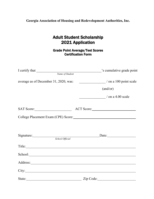**Georgia Association of Housing and Redevelopment Authorities, Inc.**

# Adult Student Scholarship 2021 Application

Grade Point Average/Test Scores Certification Form

| I certify that                        | 's cumulative grade point                                                                                                                                                                                                      |
|---------------------------------------|--------------------------------------------------------------------------------------------------------------------------------------------------------------------------------------------------------------------------------|
| Name of Student                       |                                                                                                                                                                                                                                |
| average as of December 31, 2020, was: | $\frac{1}{2}$ on a 100 point scale                                                                                                                                                                                             |
|                                       | (and/or)                                                                                                                                                                                                                       |
|                                       | $\frac{1}{2}$ / on a 4.00 scale                                                                                                                                                                                                |
| SAT Score:                            |                                                                                                                                                                                                                                |
|                                       |                                                                                                                                                                                                                                |
|                                       |                                                                                                                                                                                                                                |
| School Official                       | $\text{Date:}$                                                                                                                                                                                                                 |
|                                       | Title:                                                                                                                                                                                                                         |
|                                       | School: and the set of the set of the set of the set of the set of the set of the set of the set of the set of the set of the set of the set of the set of the set of the set of the set of the set of the set of the set of t |
|                                       | Address: <u>Address:</u>                                                                                                                                                                                                       |
|                                       |                                                                                                                                                                                                                                |
|                                       | State: Zip Code: Zip Code:                                                                                                                                                                                                     |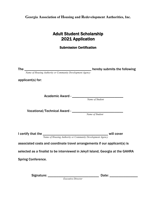**Georgia Association of Housing and Redevelopment Authorities, Inc.**

# Adult Student Scholarship 2021 Application

Submission Certification

The \_\_\_\_\_\_\_\_\_\_\_\_\_\_\_\_\_\_\_\_\_\_\_\_\_\_\_\_\_\_\_\_\_\_\_\_\_\_ hereby submits the following

 *Name of Housing Authority or Community Development Agency*

applicant(s) for:

Academic Award - \_\_\_\_\_\_\_\_\_\_\_\_\_\_\_\_\_\_\_\_\_\_\_\_\_\_\_\_\_

*Name of Student*

Vocational/Technical Award - \_\_\_\_\_\_\_\_\_\_\_\_\_\_\_\_\_\_\_\_\_\_\_\_\_\_\_\_\_\_\_\_\_\_

*Name of Student*

I certify that the \_\_\_\_\_\_\_\_\_\_\_\_\_\_\_\_\_\_\_\_\_\_\_\_\_\_\_\_\_\_\_\_\_\_\_\_\_ will cover

 *Name of Housing Authority or Community Development Agency*

associated costs and coordinate travel arrangements if our applicant(s) is

selected as a finalist to be interviewed in Jekyll Island, Georgia at the GAHRA

Spring Conference.

Signature: \_\_\_\_\_\_\_\_\_\_\_\_\_\_\_\_\_\_\_\_\_\_\_\_\_\_\_\_\_ Date: \_\_\_\_\_\_\_\_\_\_\_\_\_\_\_\_ *Executive Director*